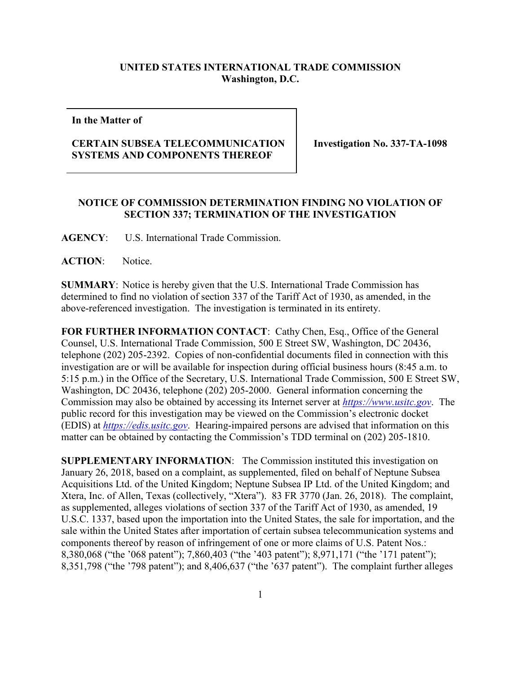## **UNITED STATES INTERNATIONAL TRADE COMMISSION Washington, D.C.**

**In the Matter of**

## **CERTAIN SUBSEA TELECOMMUNICATION SYSTEMS AND COMPONENTS THEREOF**

**Investigation No. 337-TA-1098**

## **NOTICE OF COMMISSION DETERMINATION FINDING NO VIOLATION OF SECTION 337; TERMINATION OF THE INVESTIGATION**

**AGENCY**: U.S. International Trade Commission.

**ACTION**: Notice.

**SUMMARY**: Notice is hereby given that the U.S. International Trade Commission has determined to find no violation of section 337 of the Tariff Act of 1930, as amended, in the above-referenced investigation. The investigation is terminated in its entirety.

FOR FURTHER INFORMATION CONTACT: Cathy Chen, Esq., Office of the General Counsel, U.S. International Trade Commission, 500 E Street SW, Washington, DC 20436, telephone (202) 205-2392. Copies of non-confidential documents filed in connection with this investigation are or will be available for inspection during official business hours (8:45 a.m. to 5:15 p.m.) in the Office of the Secretary, U.S. International Trade Commission, 500 E Street SW, Washington, DC 20436, telephone (202) 205-2000. General information concerning the Commission may also be obtained by accessing its Internet server at *[https://www.usitc.gov](https://www.usitc.gov/)*. The public record for this investigation may be viewed on the Commission's electronic docket (EDIS) at *[https://edis.usitc.gov](https://edis.usitc.gov/)*. Hearing-impaired persons are advised that information on this matter can be obtained by contacting the Commission's TDD terminal on (202) 205-1810.

**SUPPLEMENTARY INFORMATION**: The Commission instituted this investigation on January 26, 2018, based on a complaint, as supplemented, filed on behalf of Neptune Subsea Acquisitions Ltd. of the United Kingdom; Neptune Subsea IP Ltd. of the United Kingdom; and Xtera, Inc. of Allen, Texas (collectively, "Xtera"). 83 FR 3770 (Jan. 26, 2018). The complaint, as supplemented, alleges violations of section 337 of the Tariff Act of 1930, as amended, 19 U.S.C. 1337, based upon the importation into the United States, the sale for importation, and the sale within the United States after importation of certain subsea telecommunication systems and components thereof by reason of infringement of one or more claims of U.S. Patent Nos.: 8,380,068 ("the '068 patent"); 7,860,403 ("the '403 patent"); 8,971,171 ("the '171 patent"); 8,351,798 ("the '798 patent"); and 8,406,637 ("the '637 patent"). The complaint further alleges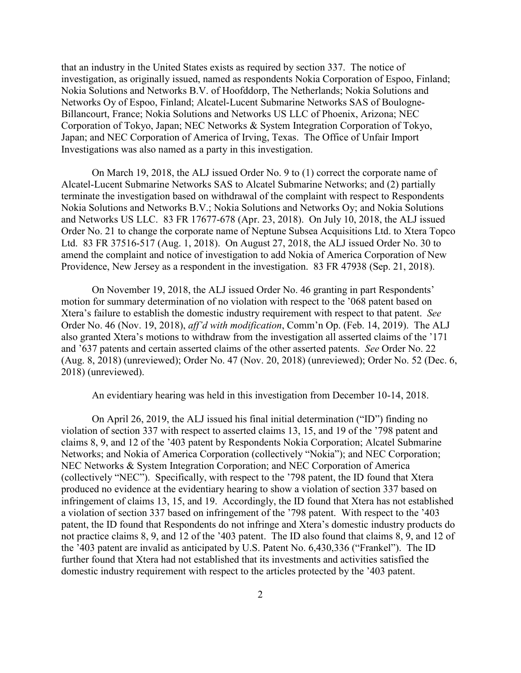that an industry in the United States exists as required by section 337. The notice of investigation, as originally issued, named as respondents Nokia Corporation of Espoo, Finland; Nokia Solutions and Networks B.V. of Hoofddorp, The Netherlands; Nokia Solutions and Networks Oy of Espoo, Finland; Alcatel-Lucent Submarine Networks SAS of Boulogne-Billancourt, France; Nokia Solutions and Networks US LLC of Phoenix, Arizona; NEC Corporation of Tokyo, Japan; NEC Networks & System Integration Corporation of Tokyo, Japan; and NEC Corporation of America of Irving, Texas. The Office of Unfair Import Investigations was also named as a party in this investigation.

On March 19, 2018, the ALJ issued Order No. 9 to (1) correct the corporate name of Alcatel-Lucent Submarine Networks SAS to Alcatel Submarine Networks; and (2) partially terminate the investigation based on withdrawal of the complaint with respect to Respondents Nokia Solutions and Networks B.V.; Nokia Solutions and Networks Oy; and Nokia Solutions and Networks US LLC. 83 FR 17677-678 (Apr. 23, 2018). On July 10, 2018, the ALJ issued Order No. 21 to change the corporate name of Neptune Subsea Acquisitions Ltd. to Xtera Topco Ltd. 83 FR 37516-517 (Aug. 1, 2018). On August 27, 2018, the ALJ issued Order No. 30 to amend the complaint and notice of investigation to add Nokia of America Corporation of New Providence, New Jersey as a respondent in the investigation. 83 FR 47938 (Sep. 21, 2018).

On November 19, 2018, the ALJ issued Order No. 46 granting in part Respondents' motion for summary determination of no violation with respect to the '068 patent based on Xtera's failure to establish the domestic industry requirement with respect to that patent. *See*  Order No. 46 (Nov. 19, 2018), *aff'd with modification*, Comm'n Op. (Feb. 14, 2019). The ALJ also granted Xtera's motions to withdraw from the investigation all asserted claims of the '171 and '637 patents and certain asserted claims of the other asserted patents. *See* Order No. 22 (Aug. 8, 2018) (unreviewed); Order No. 47 (Nov. 20, 2018) (unreviewed); Order No. 52 (Dec. 6, 2018) (unreviewed).

An evidentiary hearing was held in this investigation from December 10-14, 2018.

On April 26, 2019, the ALJ issued his final initial determination ("ID") finding no violation of section 337 with respect to asserted claims 13, 15, and 19 of the '798 patent and claims 8, 9, and 12 of the '403 patent by Respondents Nokia Corporation; Alcatel Submarine Networks; and Nokia of America Corporation (collectively "Nokia"); and NEC Corporation; NEC Networks & System Integration Corporation; and NEC Corporation of America (collectively "NEC"). Specifically, with respect to the '798 patent, the ID found that Xtera produced no evidence at the evidentiary hearing to show a violation of section 337 based on infringement of claims 13, 15, and 19. Accordingly, the ID found that Xtera has not established a violation of section 337 based on infringement of the '798 patent. With respect to the '403 patent, the ID found that Respondents do not infringe and Xtera's domestic industry products do not practice claims 8, 9, and 12 of the '403 patent. The ID also found that claims 8, 9, and 12 of the '403 patent are invalid as anticipated by U.S. Patent No. 6,430,336 ("Frankel"). The ID further found that Xtera had not established that its investments and activities satisfied the domestic industry requirement with respect to the articles protected by the '403 patent.